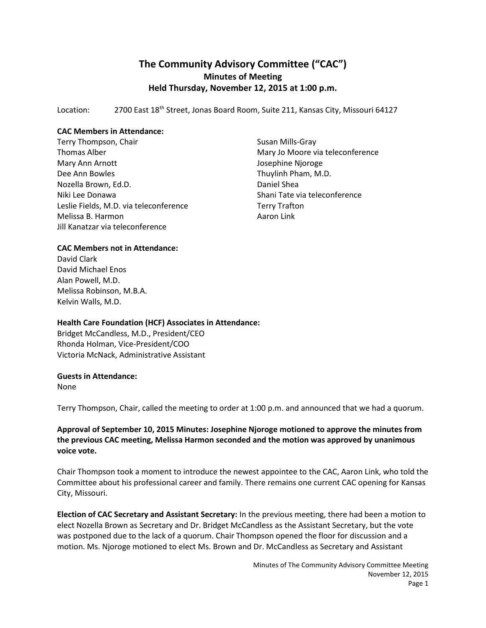# **The Community Advisory Committee ("CAC") Minutes of Meeting Held Thursday, November 12, 2015 at 1:00 p.m.**

Location: 2700 East 18<sup>th</sup> Street, Jonas Board Room, Suite 211, Kansas City, Missouri 64127

## **CAC Members in Attendance:**

Terry Thompson, Chair Thomas Alber Mary Ann Arnott Dee Ann Bowles Nozella Brown, Ed.D. Niki Lee Donawa Leslie Fields, M.D. via teleconference Melissa B. Harmon Jill Kanatzar via teleconference

Susan Mills-Gray Mary Jo Moore via teleconference Josephine Njoroge Thuylinh Pham, M.D. Daniel Shea Shani Tate via teleconference Terry Trafton Aaron Link

# **CAC Members not in Attendance:**

David Clark David Michael Enos Alan Powell, M.D. Melissa Robinson, M.B.A. Kelvin Walls, M.D.

#### **Health Care Foundation (HCF) Associates in Attendance:**

Bridget McCandless, M.D., President/CEO Rhonda Holman, Vice-President/COO Victoria McNack, Administrative Assistant

#### **Guests in Attendance:**

None

Terry Thompson, Chair, called the meeting to order at 1:00 p.m. and announced that we had a quorum.

## **Approval of September 10, 2015 Minutes: Josephine Njoroge motioned to approve the minutes from the previous CAC meeting, Melissa Harmon seconded and the motion was approved by unanimous voice vote.**

Chair Thompson took a moment to introduce the newest appointee to the CAC, Aaron Link, who told the Committee about his professional career and family. There remains one current CAC opening for Kansas City, Missouri.

**Election of CAC Secretary and Assistant Secretary:** In the previous meeting, there had been a motion to elect Nozella Brown as Secretary and Dr. Bridget McCandless as the Assistant Secretary, but the vote was postponed due to the lack of a quorum. Chair Thompson opened the floor for discussion and a motion. Ms. Njoroge motioned to elect Ms. Brown and Dr. McCandless as Secretary and Assistant

> Minutes of The Community Advisory Committee Meeting November 12, 2015 Page 1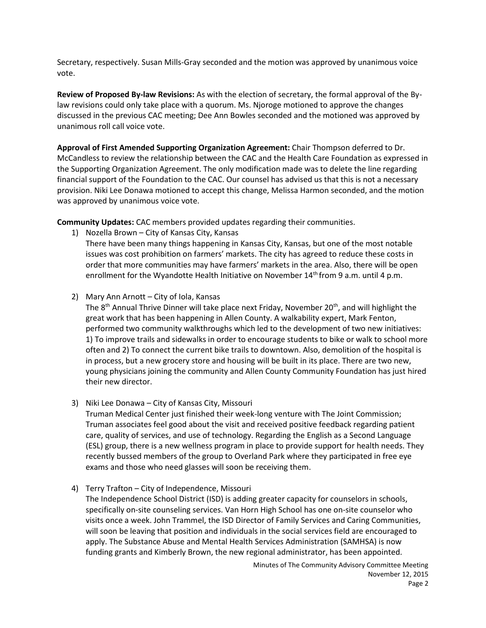Secretary, respectively. Susan Mills-Gray seconded and the motion was approved by unanimous voice vote.

**Review of Proposed By-law Revisions:** As with the election of secretary, the formal approval of the Bylaw revisions could only take place with a quorum. Ms. Njoroge motioned to approve the changes discussed in the previous CAC meeting; Dee Ann Bowles seconded and the motioned was approved by unanimous roll call voice vote.

**Approval of First Amended Supporting Organization Agreement:** Chair Thompson deferred to Dr. McCandless to review the relationship between the CAC and the Health Care Foundation as expressed in the Supporting Organization Agreement. The only modification made was to delete the line regarding financial support of the Foundation to the CAC. Our counsel has advised us that this is not a necessary provision. Niki Lee Donawa motioned to accept this change, Melissa Harmon seconded, and the motion was approved by unanimous voice vote.

**Community Updates:** CAC members provided updates regarding their communities.

1) Nozella Brown – City of Kansas City, Kansas

There have been many things happening in Kansas City, Kansas, but one of the most notable issues was cost prohibition on farmers' markets. The city has agreed to reduce these costs in order that more communities may have farmers' markets in the area. Also, there will be open enrollment for the Wyandotte Health Initiative on November  $14<sup>th</sup>$  from 9 a.m. until 4 p.m.

2) Mary Ann Arnott – City of Iola, Kansas

The 8<sup>th</sup> Annual Thrive Dinner will take place next Friday, November 20<sup>th</sup>, and will highlight the great work that has been happening in Allen County. A walkability expert, Mark Fenton, performed two community walkthroughs which led to the development of two new initiatives: 1) To improve trails and sidewalks in order to encourage students to bike or walk to school more often and 2) To connect the current bike trails to downtown. Also, demolition of the hospital is in process, but a new grocery store and housing will be built in its place. There are two new, young physicians joining the community and Allen County Community Foundation has just hired their new director.

3) Niki Lee Donawa – City of Kansas City, Missouri

Truman Medical Center just finished their week-long venture with The Joint Commission; Truman associates feel good about the visit and received positive feedback regarding patient care, quality of services, and use of technology. Regarding the English as a Second Language (ESL) group, there is a new wellness program in place to provide support for health needs. They recently bussed members of the group to Overland Park where they participated in free eye exams and those who need glasses will soon be receiving them.

4) Terry Trafton – City of Independence, Missouri The Independence School District (ISD) is adding greater capacity for counselors in schools, specifically on-site counseling services. Van Horn High School has one on-site counselor who visits once a week. John Trammel, the ISD Director of Family Services and Caring Communities, will soon be leaving that position and individuals in the social services field are encouraged to apply. The Substance Abuse and Mental Health Services Administration (SAMHSA) is now funding grants and Kimberly Brown, the new regional administrator, has been appointed.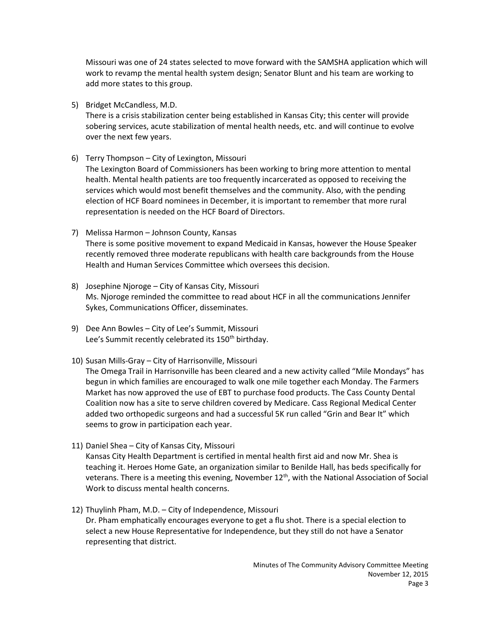Missouri was one of 24 states selected to move forward with the SAMSHA application which will work to revamp the mental health system design; Senator Blunt and his team are working to add more states to this group.

5) Bridget McCandless, M.D.

There is a crisis stabilization center being established in Kansas City; this center will provide sobering services, acute stabilization of mental health needs, etc. and will continue to evolve over the next few years.

6) Terry Thompson – City of Lexington, Missouri

The Lexington Board of Commissioners has been working to bring more attention to mental health. Mental health patients are too frequently incarcerated as opposed to receiving the services which would most benefit themselves and the community. Also, with the pending election of HCF Board nominees in December, it is important to remember that more rural representation is needed on the HCF Board of Directors.

- 7) Melissa Harmon Johnson County, Kansas There is some positive movement to expand Medicaid in Kansas, however the House Speaker recently removed three moderate republicans with health care backgrounds from the House Health and Human Services Committee which oversees this decision.
- 8) Josephine Njoroge City of Kansas City, Missouri Ms. Njoroge reminded the committee to read about HCF in all the communications Jennifer Sykes, Communications Officer, disseminates.
- 9) Dee Ann Bowles City of Lee's Summit, Missouri Lee's Summit recently celebrated its 150<sup>th</sup> birthday.
- 10) Susan Mills-Gray City of Harrisonville, Missouri

The Omega Trail in Harrisonville has been cleared and a new activity called "Mile Mondays" has begun in which families are encouraged to walk one mile together each Monday. The Farmers Market has now approved the use of EBT to purchase food products. The Cass County Dental Coalition now has a site to serve children covered by Medicare. Cass Regional Medical Center added two orthopedic surgeons and had a successful 5K run called "Grin and Bear It" which seems to grow in participation each year.

11) Daniel Shea – City of Kansas City, Missouri

Kansas City Health Department is certified in mental health first aid and now Mr. Shea is teaching it. Heroes Home Gate, an organization similar to Benilde Hall, has beds specifically for veterans. There is a meeting this evening, November 12<sup>th</sup>, with the National Association of Social Work to discuss mental health concerns.

12) Thuylinh Pham, M.D. – City of Independence, Missouri Dr. Pham emphatically encourages everyone to get a flu shot. There is a special election to select a new House Representative for Independence, but they still do not have a Senator representing that district.